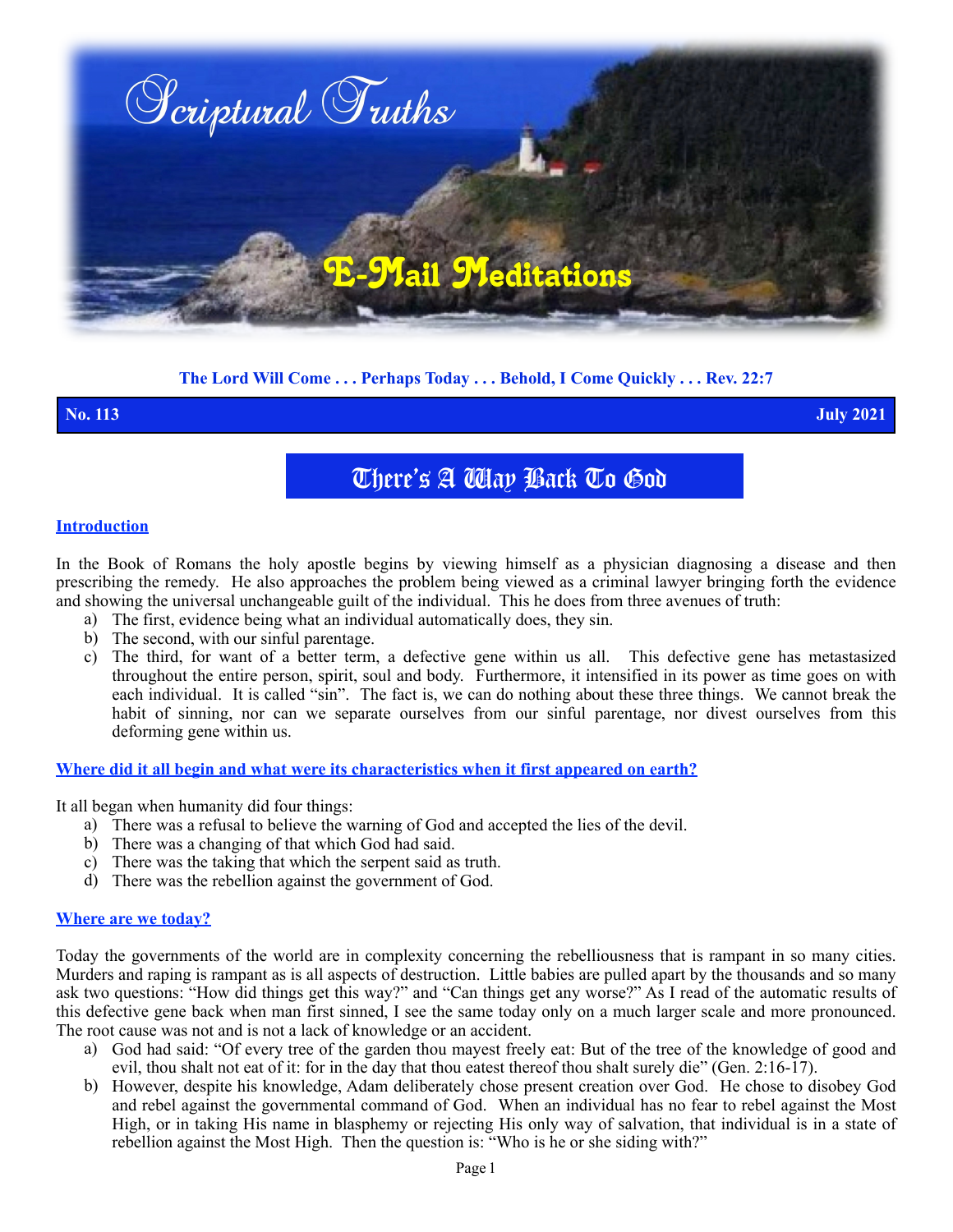

# **The Lord Will Come . . . Perhaps Today . . . Behold, I Come Quickly . . . Rev. 22:7**

**No. 113 July 2021**

There's A Way Back To God

## **Introduction**

In the Book of Romans the holy apostle begins by viewing himself as a physician diagnosing a disease and then prescribing the remedy. He also approaches the problem being viewed as a criminal lawyer bringing forth the evidence and showing the universal unchangeable guilt of the individual. This he does from three avenues of truth:

- a) The first, evidence being what an individual automatically does, they sin.
- b) The second, with our sinful parentage.
- c) The third, for want of a better term, a defective gene within us all. This defective gene has metastasized throughout the entire person, spirit, soul and body. Furthermore, it intensified in its power as time goes on with each individual. It is called "sin". The fact is, we can do nothing about these three things. We cannot break the habit of sinning, nor can we separate ourselves from our sinful parentage, nor divest ourselves from this deforming gene within us.

# **Where did it all begin and what were its characteristics when it first appeared on earth?**

It all began when humanity did four things:

- a) There was a refusal to believe the warning of God and accepted the lies of the devil.
- b) There was a changing of that which God had said.
- c) There was the taking that which the serpent said as truth.
- d) There was the rebellion against the government of God.

## **Where are we today?**

Today the governments of the world are in complexity concerning the rebelliousness that is rampant in so many cities. Murders and raping is rampant as is all aspects of destruction. Little babies are pulled apart by the thousands and so many ask two questions: "How did things get this way?" and "Can things get any worse?" As I read of the automatic results of this defective gene back when man first sinned, I see the same today only on a much larger scale and more pronounced. The root cause was not and is not a lack of knowledge or an accident.

- a) God had said: "Of every tree of the garden thou mayest freely eat: But of the tree of the knowledge of good and evil, thou shalt not eat of it: for in the day that thou eatest thereof thou shalt surely die" (Gen. 2:16-17).
- b) However, despite his knowledge, Adam deliberately chose present creation over God. He chose to disobey God and rebel against the governmental command of God. When an individual has no fear to rebel against the Most High, or in taking His name in blasphemy or rejecting His only way of salvation, that individual is in a state of rebellion against the Most High. Then the question is: "Who is he or she siding with?"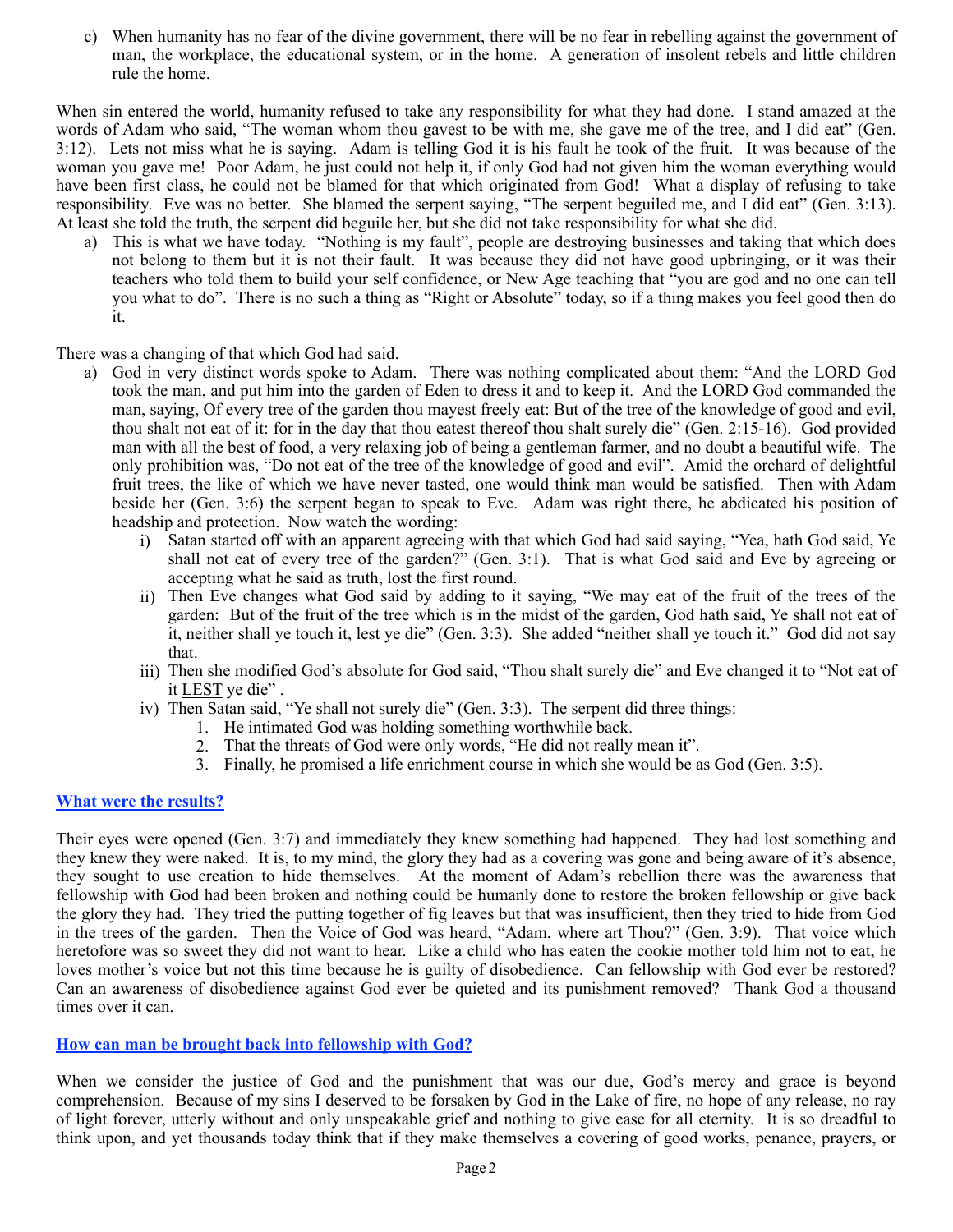c) When humanity has no fear of the divine government, there will be no fear in rebelling against the government of man, the workplace, the educational system, or in the home. A generation of insolent rebels and little children rule the home.

When sin entered the world, humanity refused to take any responsibility for what they had done. I stand amazed at the words of Adam who said, "The woman whom thou gavest to be with me, she gave me of the tree, and I did eat" (Gen. 3:12). Lets not miss what he is saying. Adam is telling God it is his fault he took of the fruit. It was because of the woman you gave me! Poor Adam, he just could not help it, if only God had not given him the woman everything would have been first class, he could not be blamed for that which originated from God! What a display of refusing to take responsibility. Eve was no better. She blamed the serpent saying, "The serpent beguiled me, and I did eat" (Gen. 3:13). At least she told the truth, the serpent did beguile her, but she did not take responsibility for what she did.

a) This is what we have today. "Nothing is my fault", people are destroying businesses and taking that which does not belong to them but it is not their fault. It was because they did not have good upbringing, or it was their teachers who told them to build your self confidence, or New Age teaching that "you are god and no one can tell you what to do". There is no such a thing as "Right or Absolute" today, so if a thing makes you feel good then do it.

There was a changing of that which God had said.

- a) God in very distinct words spoke to Adam. There was nothing complicated about them: "And the LORD God took the man, and put him into the garden of Eden to dress it and to keep it. And the LORD God commanded the man, saying, Of every tree of the garden thou mayest freely eat: But of the tree of the knowledge of good and evil, thou shalt not eat of it: for in the day that thou eatest thereof thou shalt surely die" (Gen. 2:15-16). God provided man with all the best of food, a very relaxing job of being a gentleman farmer, and no doubt a beautiful wife. The only prohibition was, "Do not eat of the tree of the knowledge of good and evil". Amid the orchard of delightful fruit trees, the like of which we have never tasted, one would think man would be satisfied. Then with Adam beside her (Gen. 3:6) the serpent began to speak to Eve. Adam was right there, he abdicated his position of headship and protection. Now watch the wording:
	- i) Satan started off with an apparent agreeing with that which God had said saying, "Yea, hath God said, Ye shall not eat of every tree of the garden?" (Gen. 3:1). That is what God said and Eve by agreeing or accepting what he said as truth, lost the first round.
	- ii) Then Eve changes what God said by adding to it saying, "We may eat of the fruit of the trees of the garden: But of the fruit of the tree which is in the midst of the garden, God hath said, Ye shall not eat of it, neither shall ye touch it, lest ye die" (Gen. 3:3). She added "neither shall ye touch it." God did not say that.
	- iii) Then she modified God's absolute for God said, "Thou shalt surely die" and Eve changed it to "Not eat of it LEST ye die" .
	- iv) Then Satan said, "Ye shall not surely die" (Gen. 3:3). The serpent did three things:
		- 1. He intimated God was holding something worthwhile back.
		- 2. That the threats of God were only words, "He did not really mean it".
		- 3. Finally, he promised a life enrichment course in which she would be as God (Gen. 3:5).

# **What were the results?**

Their eyes were opened (Gen. 3:7) and immediately they knew something had happened. They had lost something and they knew they were naked. It is, to my mind, the glory they had as a covering was gone and being aware of it's absence, they sought to use creation to hide themselves. At the moment of Adam's rebellion there was the awareness that fellowship with God had been broken and nothing could be humanly done to restore the broken fellowship or give back the glory they had. They tried the putting together of fig leaves but that was insufficient, then they tried to hide from God in the trees of the garden. Then the Voice of God was heard, "Adam, where art Thou?" (Gen. 3:9). That voice which heretofore was so sweet they did not want to hear. Like a child who has eaten the cookie mother told him not to eat, he loves mother's voice but not this time because he is guilty of disobedience. Can fellowship with God ever be restored? Can an awareness of disobedience against God ever be quieted and its punishment removed? Thank God a thousand times over it can.

# **How can man be brought back into fellowship with God?**

When we consider the justice of God and the punishment that was our due, God's mercy and grace is beyond comprehension. Because of my sins I deserved to be forsaken by God in the Lake of fire, no hope of any release, no ray of light forever, utterly without and only unspeakable grief and nothing to give ease for all eternity.It is so dreadful to think upon, and yet thousands today think that if they make themselves a covering of good works, penance, prayers, or